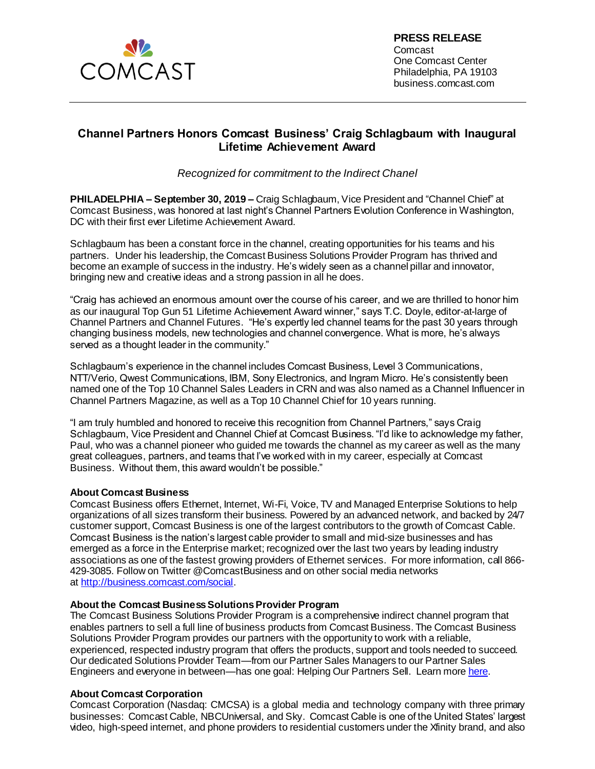

## **Channel Partners Honors Comcast Business' Craig Schlagbaum with Inaugural Lifetime Achievement Award**

*Recognized for commitment to the Indirect Chanel*

**PHILADELPHIA – September 30, 2019 –** Craig Schlagbaum, Vice President and "Channel Chief" at Comcast Business, was honored at last night's Channel Partners Evolution Conference in Washington, DC with their first ever Lifetime Achievement Award.

Schlagbaum has been a constant force in the channel, creating opportunities for his teams and his partners. Under his leadership, the Comcast Business Solutions Provider Program has thrived and become an example of success in the industry. He's widely seen as a channel pillar and innovator, bringing new and creative ideas and a strong passion in all he does.

"Craig has achieved an enormous amount over the course of his career, and we are thrilled to honor him as our inaugural Top Gun 51 Lifetime Achievement Award winner," says T.C. Doyle, editor-at-large of Channel Partners and Channel Futures. "He's expertly led channel teams for the past 30 years through changing business models, new technologies and channel convergence. What is more, he's always served as a thought leader in the community."

Schlagbaum's experience in the channel includes Comcast Business, Level 3 Communications, NTT/Verio, Qwest Communications, IBM, Sony Electronics, and Ingram Micro. He's consistently been named one of the Top 10 Channel Sales Leaders in CRN and was also named as a Channel Influencer in Channel Partners Magazine, as well as a Top 10 Channel Chief for 10 years running.

"I am truly humbled and honored to receive this recognition from Channel Partners," says Craig Schlagbaum, Vice President and Channel Chief at Comcast Business. "I'd like to acknowledge my father, Paul, who was a channel pioneer who guided me towards the channel as my career as well as the many great colleagues, partners, and teams that I've worked with in my career, especially at Comcast Business. Without them, this award wouldn't be possible."

## **About Comcast Business**

Comcast Business offers Ethernet, Internet, Wi-Fi, Voice, TV and Managed Enterprise Solutions to help organizations of all sizes transform their business. Powered by an advanced network, and backed by 24/7 customer support, Comcast Business is one of the largest contributors to the growth of Comcast Cable. Comcast Business is the nation's largest cable provider to small and mid-size businesses and has emerged as a force in the Enterprise market; recognized over the last two years by leading industry associations as one of the fastest growing providers of Ethernet services. For more information, call 866- 429-3085. Follow on Twitter @ComcastBusiness and on other social media networks at [http://business.comcast.com/social](http://business.comcast.com/about-us/social-media).

## **About the Comcast Business Solutions Provider Program**

The Comcast Business Solutions Provider Program is a comprehensive indirect channel program that enables partners to sell a full line of business products from Comcast Business. The Comcast Business Solutions Provider Program provides our partners with the opportunity to work with a reliable, experienced, respected industry program that offers the products, support and tools needed to succeed. Our dedicated Solutions Provider Team—from our Partner Sales Managers to our Partner Sales Engineers and everyone in between—has one goal: Helping Our Partners Sell. Learn mor[e here](https://business.comcast.com/partner/solutions-provider-program).

## **About Comcast Corporation**

Comcast Corporation (Nasdaq: CMCSA) is a global media and technology company with three primary businesses: Comcast Cable, NBCUniversal, and Sky. Comcast Cable is one of the United States' largest video, high-speed internet, and phone providers to residential customers under the Xfinity brand, and also